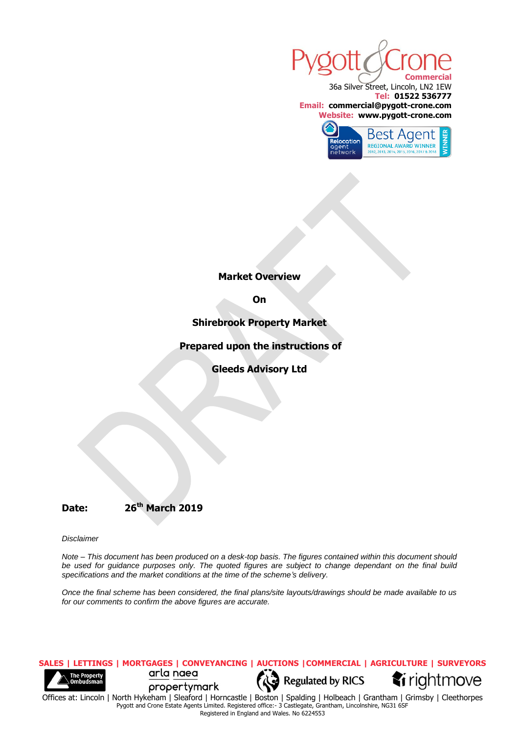

36a Silver Street, Lincoln, LN2 1EW **Tel: 01522 536777 Email: commercial@pygott-crone.com Website: www.pygott-crone.com**



**Market Overview**

**On**

**Shirebrook Property Market**

**Prepared upon the instructions of**

**Gleeds Advisory Ltd**

# **Date: 26th March 2019**

*Disclaimer* 

*Note – This document has been produced on a desk-top basis. The figures contained within this document should be used for guidance purposes only. The quoted figures are subject to change dependant on the final build specifications and the market conditions at the time of the scheme's delivery.*

*Once the final scheme has been considered, the final plans/site layouts/drawings should be made available to us for our comments to confirm the above figures are accurate.* 



Pygott and Crone Estate Agents Limited. Registered office:- 3 Castlegate, Grantham, Lincolnshire, NG31 6SF Registered in England and Wales. No 6224553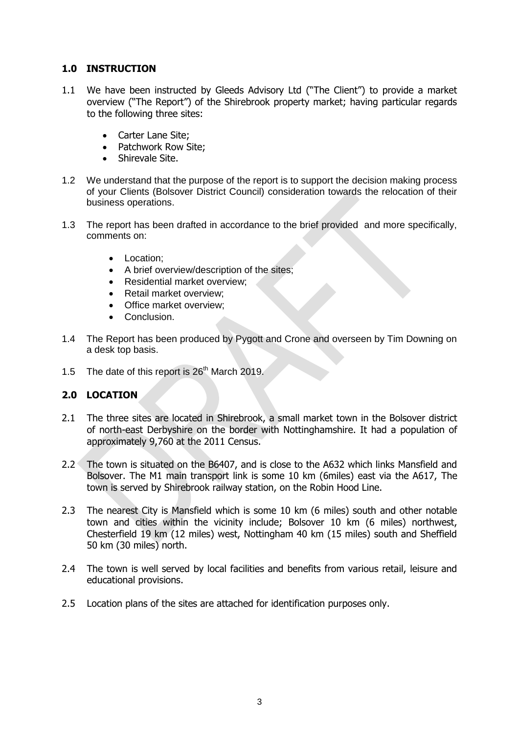# **1.0 INSTRUCTION**

- 1.1 We have been instructed by Gleeds Advisory Ltd ("The Client") to provide a market overview ("The Report") of the Shirebrook property market; having particular regards to the following three sites:
	- Carter Lane Site;
	- Patchwork Row Site;
	- Shirevale Site.
- 1.2 We understand that the purpose of the report is to support the decision making process of your Clients (Bolsover District Council) consideration towards the relocation of their business operations.
- 1.3 The report has been drafted in accordance to the brief provided and more specifically, comments on:
	- Location:
	- A brief overview/description of the sites;
	- Residential market overview;
	- Retail market overview:
	- Office market overview:
	- Conclusion.
- 1.4 The Report has been produced by Pygott and Crone and overseen by Tim Downing on a desk top basis.
- 1.5 The date of this report is  $26<sup>th</sup>$  March 2019.

### **2.0 LOCATION**

- 2.1 The three sites are located in Shirebrook, a small market town in the [Bolsover district](https://en.wikipedia.org/wiki/Bolsover_(district)) of north-east [Derbyshire](https://en.wikipedia.org/wiki/Derbyshire) on the border with [Nottinghamshire.](https://en.wikipedia.org/wiki/Nottinghamshire) It had a population of approximately 9,760 at the 2011 Census.
- 2.2 The town is situated on the B6407, and is close to the A632 which links [Mansfield](https://en.wikipedia.org/wiki/Mansfield) and [Bolsover.](https://en.wikipedia.org/wiki/Bolsover) The M1 main transport link is some 10 km (6miles) east via the A617, The town is served by [Shirebrook railway station,](https://en.wikipedia.org/wiki/Shirebrook_railway_station) on the [Robin Hood Line.](https://en.wikipedia.org/wiki/Robin_Hood_Line)
- 2.3 The nearest City is Mansfield which is some 10 km (6 miles) south and other notable town and cities within the vicinity include; Bolsover 10 km (6 miles) northwest, Chesterfield 19 km (12 miles) west, Nottingham 40 km (15 miles) south and Sheffield 50 km (30 miles) north.
- 2.4 The town is well served by local facilities and benefits from various retail, leisure and educational provisions.
- 2.5 Location plans of the sites are attached for identification purposes only.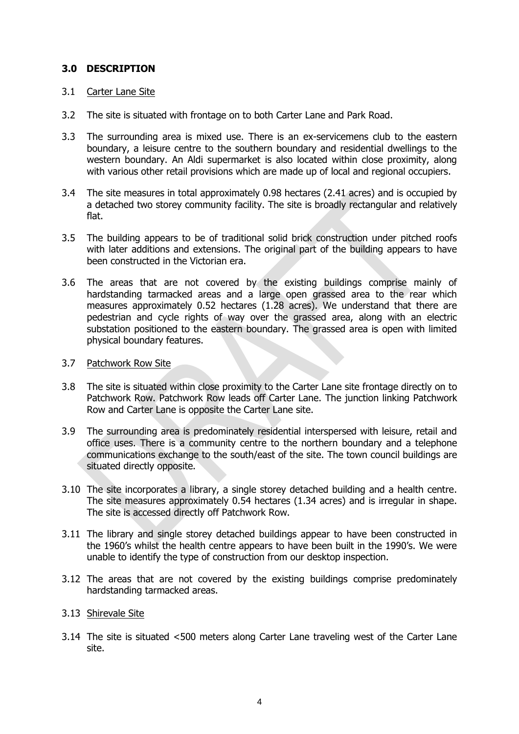#### **3.0 DESCRIPTION**

#### 3.1 Carter Lane Site

- 3.2 The site is situated with frontage on to both Carter Lane and Park Road.
- 3.3 The surrounding area is mixed use. There is an ex-servicemens club to the eastern boundary, a leisure centre to the southern boundary and residential dwellings to the western boundary. An Aldi supermarket is also located within close proximity, along with various other retail provisions which are made up of local and regional occupiers.
- 3.4 The site measures in total approximately 0.98 hectares (2.41 acres) and is occupied by a detached two storey community facility. The site is broadly rectangular and relatively flat.
- 3.5 The building appears to be of traditional solid brick construction under pitched roofs with later additions and extensions. The original part of the building appears to have been constructed in the Victorian era.
- 3.6 The areas that are not covered by the existing buildings comprise mainly of hardstanding tarmacked areas and a large open grassed area to the rear which measures approximately 0.52 hectares (1.28 acres). We understand that there are pedestrian and cycle rights of way over the grassed area, along with an electric substation positioned to the eastern boundary. The grassed area is open with limited physical boundary features.
- 3.7 Patchwork Row Site
- 3.8 The site is situated within close proximity to the Carter Lane site frontage directly on to Patchwork Row. Patchwork Row leads off Carter Lane. The junction linking Patchwork Row and Carter Lane is opposite the Carter Lane site.
- 3.9 The surrounding area is predominately residential interspersed with leisure, retail and office uses. There is a community centre to the northern boundary and a telephone communications exchange to the south/east of the site. The town council buildings are situated directly opposite.
- 3.10 The site incorporates a library, a single storey detached building and a health centre. The site measures approximately 0.54 hectares (1.34 acres) and is irregular in shape. The site is accessed directly off Patchwork Row.
- 3.11 The library and single storey detached buildings appear to have been constructed in the 1960's whilst the health centre appears to have been built in the 1990's. We were unable to identify the type of construction from our desktop inspection.
- 3.12 The areas that are not covered by the existing buildings comprise predominately hardstanding tarmacked areas.

#### 3.13 Shirevale Site

3.14 The site is situated <500 meters along Carter Lane traveling west of the Carter Lane site.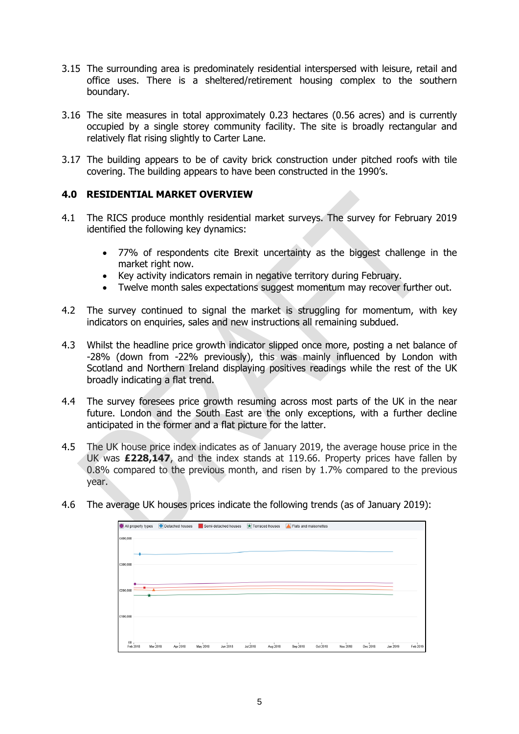- 3.15 The surrounding area is predominately residential interspersed with leisure, retail and office uses. There is a sheltered/retirement housing complex to the southern boundary.
- 3.16 The site measures in total approximately 0.23 hectares (0.56 acres) and is currently occupied by a single storey community facility. The site is broadly rectangular and relatively flat rising slightly to Carter Lane.
- 3.17 The building appears to be of cavity brick construction under pitched roofs with tile covering. The building appears to have been constructed in the 1990's.

### **4.0 RESIDENTIAL MARKET OVERVIEW**

- 4.1 The RICS produce monthly residential market surveys. The survey for February 2019 identified the following key dynamics:
	- 77% of respondents cite Brexit uncertainty as the biggest challenge in the market right now.
	- Key activity indicators remain in negative territory during February.
	- Twelve month sales expectations suggest momentum may recover further out.
- 4.2 The survey continued to signal the market is struggling for momentum, with key indicators on enquiries, sales and new instructions all remaining subdued.
- 4.3 Whilst the headline price growth indicator slipped once more, posting a net balance of -28% (down from -22% previously), this was mainly influenced by London with Scotland and Northern Ireland displaying positives readings while the rest of the UK broadly indicating a flat trend.
- 4.4 The survey foresees price growth resuming across most parts of the UK in the near future. London and the South East are the only exceptions, with a further decline anticipated in the former and a flat picture for the latter.
- 4.5 The UK house price index indicates as of January 2019, the average house price in the UK was **£228,147**, and the index stands at 119.66. Property prices have fallen by 0.8% compared to the previous month, and risen by 1.7% compared to the previous year.
- 4.6 The average UK houses prices indicate the following trends (as of January 2019):

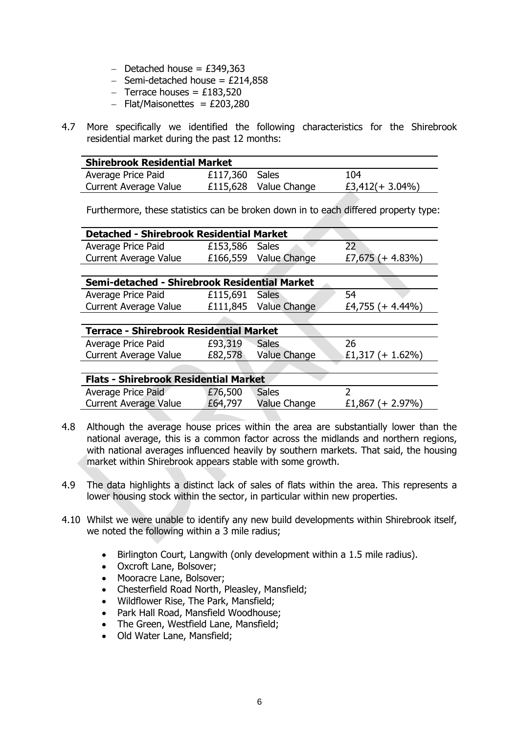- $-$  Detached house = £349,363
- $-$  Semi-detached house = £214,858
- $-$  Terrace houses = £183,520
- $-$  Flat/Maisonettes = £203,280
- 4.7 More specifically we identified the following characteristics for the Shirebrook residential market during the past 12 months:

| <b>Shirebrook Residential Market</b>                              |                |  |     |  |  |  |  |
|-------------------------------------------------------------------|----------------|--|-----|--|--|--|--|
| Average Price Paid                                                | £117,360 Sales |  | 104 |  |  |  |  |
| £3,412(+ 3.04%)<br>£115,628 Value Change<br>Current Average Value |                |  |     |  |  |  |  |

Furthermore, these statistics can be broken down in to each differed property type:

| <b>Detached - Shirebrook Residential Market</b> |                |                       |                     |  |  |  |  |  |
|-------------------------------------------------|----------------|-----------------------|---------------------|--|--|--|--|--|
| Average Price Paid                              | £153,586 Sales |                       |                     |  |  |  |  |  |
| <b>Current Average Value</b>                    |                | £166,559 Value Change | £7,675 $(+ 4.83\%)$ |  |  |  |  |  |
|                                                 |                |                       |                     |  |  |  |  |  |

| Semi-detached - Shirebrook Residential Market |                |                       |                  |  |  |  |  |
|-----------------------------------------------|----------------|-----------------------|------------------|--|--|--|--|
| Average Price Paid                            | £115,691 Sales |                       | -54              |  |  |  |  |
| <b>Current Average Value</b>                  |                | £111,845 Value Change | £4,755 (+ 4.44%) |  |  |  |  |

**STATISTICS** 

| <b>Terrace - Shirebrook Residential Market</b> |         |              |                    |  |  |  |  |
|------------------------------------------------|---------|--------------|--------------------|--|--|--|--|
| Average Price Paid                             | £93,319 | <b>Sales</b> | 26                 |  |  |  |  |
| Current Average Value                          | £82,578 | Value Change | $E1,317 (+ 1.62%)$ |  |  |  |  |

| <b>Flats - Shirebrook Residential Market</b> |         |              |                     |  |  |  |  |  |
|----------------------------------------------|---------|--------------|---------------------|--|--|--|--|--|
| Average Price Paid                           | £76,500 | Sales        |                     |  |  |  |  |  |
| <b>Current Average Value</b>                 | £64,797 | Value Change | £1,867 $(+ 2.97\%)$ |  |  |  |  |  |

- 4.8 Although the average house prices within the area are substantially lower than the national average, this is a common factor across the midlands and northern regions, with national averages influenced heavily by southern markets. That said, the housing market within Shirebrook appears stable with some growth.
- 4.9 The data highlights a distinct lack of sales of flats within the area. This represents a lower housing stock within the sector, in particular within new properties.
- 4.10 Whilst we were unable to identify any new build developments within Shirebrook itself, we noted the following within a 3 mile radius;
	- Birlington Court, Langwith (only development within a 1.5 mile radius).
	- Oxcroft Lane, Bolsover;
	- Mooracre Lane, Bolsover;
	- Chesterfield Road North, Pleasley, Mansfield;
	- Wildflower Rise, The Park, Mansfield;
	- Park Hall Road, Mansfield Woodhouse;
	- The Green, Westfield Lane, Mansfield;
	- Old Water Lane, Mansfield;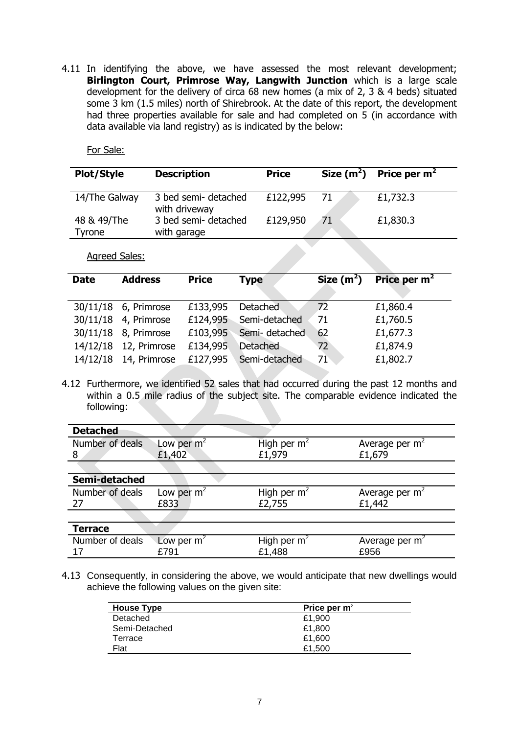4.11 In identifying the above, we have assessed the most relevant development; **Birlington Court, Primrose Way, Langwith Junction** which is a large scale development for the delivery of circa 68 new homes (a mix of 2, 3 & 4 beds) situated some 3 km (1.5 miles) north of Shirebrook. At the date of this report, the development had three properties available for sale and had completed on 5 (in accordance with data available via land registry) as is indicated by the below:

For Sale:

| <b>Plot/Style</b>     | <b>Description</b>                    | <b>Price</b> |     | Size $(m^2)$ Price per $m^2$ |
|-----------------------|---------------------------------------|--------------|-----|------------------------------|
| 14/The Galway         | 3 bed semi- detached<br>with driveway | £122,995     | -71 | £1,732.3                     |
| 48 & 49/The<br>Tyrone | 3 bed semi- detached<br>with garage   | £129,950     | 71  | £1,830.3                     |
| Agreed Sales:         |                                       |              |     |                              |

| <b>Date</b> | <b>Address</b>       | <b>Price</b> | <b>Type</b>            | Size $(m2)$  | Price per $m2$ |
|-------------|----------------------|--------------|------------------------|--------------|----------------|
|             | 30/11/18 6, Primrose | £133,995     | <b>Detached</b>        | 72           | £1,860.4       |
|             | 30/11/18 4, Primrose |              | £124,995 Semi-detached | 71           | £1,760.5       |
|             | 30/11/18 8, Primrose | £103,995     | Semi- detached         | 62           | £1,677.3       |
| 14/12/18    | 12, Primrose         | £134,995     | <b>Detached</b>        | $72^{\circ}$ | £1,874.9       |
| 14/12/18    | 14, Primrose         | £127,995     | Semi-detached          | 71           | £1,802.7       |

4.12 Furthermore, we identified 52 sales that had occurred during the past 12 months and within a 0.5 mile radius of the subject site. The comparable evidence indicated the following:

| <b>Detached</b> |              |               |                  |
|-----------------|--------------|---------------|------------------|
| Number of deals | Low per $m2$ | High per $m2$ | Average per $m2$ |
| 8               | £1,402       | £1,979        | £1,679           |
|                 |              |               |                  |
| Semi-detached   |              |               |                  |
| Number of deals | Low per $m2$ | High per $m2$ | Average per $m2$ |
| 27              | £833         | £2,755        | £1,442           |
|                 |              |               |                  |
| <b>Terrace</b>  |              |               |                  |
| Number of deals | Low per $m2$ | High per $m2$ | Average per $m2$ |
| 17              | £791         | £1,488        | £956             |

4.13 Consequently, in considering the above, we would anticipate that new dwellings would achieve the following values on the given site:

| <b>House Type</b> | Price per $m2$ |
|-------------------|----------------|
| Detached          | £1.900         |
| Semi-Detached     | £1.800         |
| Terrace           | £1.600         |
| Flat              | £1.500         |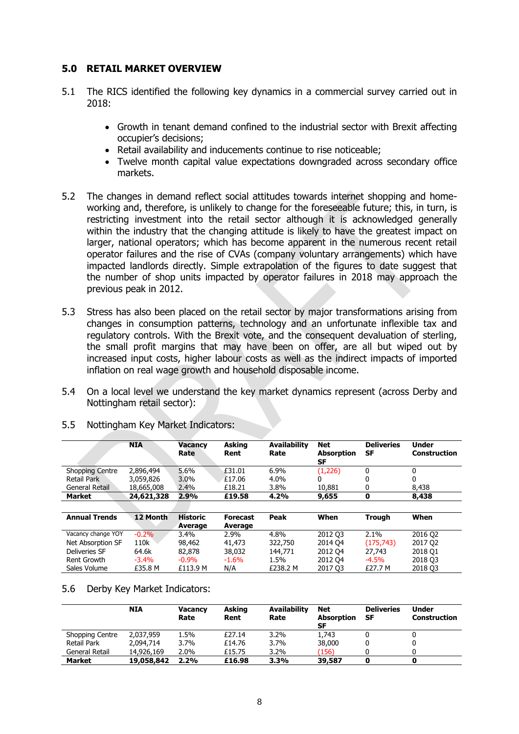#### **5.0 RETAIL MARKET OVERVIEW**

- 5.1 The RICS identified the following key dynamics in a commercial survey carried out in 2018:
	- Growth in tenant demand confined to the industrial sector with Brexit affecting occupier's decisions;
	- Retail availability and inducements continue to rise noticeable;
	- Twelve month capital value expectations downgraded across secondary office markets.
- 5.2 The changes in demand reflect social attitudes towards internet shopping and homeworking and, therefore, is unlikely to change for the foreseeable future; this, in turn, is restricting investment into the retail sector although it is acknowledged generally within the industry that the changing attitude is likely to have the greatest impact on larger, national operators; which has become apparent in the numerous recent retail operator failures and the rise of CVAs (company voluntary arrangements) which have impacted landlords directly. Simple extrapolation of the figures to date suggest that the number of shop units impacted by operator failures in 2018 may approach the previous peak in 2012.
- 5.3 Stress has also been placed on the retail sector by major transformations arising from changes in consumption patterns, technology and an unfortunate inflexible tax and regulatory controls. With the Brexit vote, and the consequent devaluation of sterling, the small profit margins that may have been on offer, are all but wiped out by increased input costs, higher labour costs as well as the indirect impacts of imported inflation on real wage growth and household disposable income.
- 5.4 On a local level we understand the key market dynamics represent (across Derby and Nottingham retail sector):

|                        | <b>NIA</b> | <b>Vacancy</b><br>Rate     | <b>Asking</b><br>Rent      | <b>Availability</b><br>Rate | <b>Net</b><br><b>Absorption</b><br>SF | <b>Deliveries</b><br><b>SF</b> | <b>Under</b><br><b>Construction</b> |
|------------------------|------------|----------------------------|----------------------------|-----------------------------|---------------------------------------|--------------------------------|-------------------------------------|
| <b>Shopping Centre</b> | 2,896,494  | 5.6%                       | £31.01                     | 6.9%                        | (1,226)                               | 0                              | 0                                   |
| Retail Park            | 3,059,826  | 3.0%                       | £17.06                     | 4.0%                        | 0                                     | 0                              | 0                                   |
| General Retail         | 18,665,008 | 2.4%                       | £18.21                     | 3.8%                        | 10.881                                | 0                              | 8,438                               |
| <b>Market</b>          | 24,621,328 | 2.9%                       | £19.58                     | 4.2%                        | 9,655                                 | 0                              | 8,438                               |
|                        |            |                            |                            |                             |                                       |                                |                                     |
| <b>Annual Trends</b>   | 12 Month   | <b>Historic</b><br>Average | <b>Forecast</b><br>Average | Peak                        | When                                  | <b>Trough</b>                  | When                                |
| Vacancy change YOY     | $-0.2%$    | 3.4%                       | 2.9%                       | 4.8%                        | 2012 03                               | 2.1%                           | 2016 Q2                             |
| Net Absorption SF      | 110k       | 98,462                     | 41,473                     | 322,750                     | 2014 04                               | (175, 743)                     | 2017 02                             |
| <b>Deliveries SF</b>   | 64.6k      | 82,878                     | 38,032                     | 144,771                     | 2012 04                               | 27.743                         | 2018 Q1                             |
| Rent Growth            | $-3.4%$    | $-0.9\%$                   | $-1.6%$                    | 1.5%                        | 2012 04                               | $-4.5%$                        | 2018 03                             |
| Sales Volume           | £35.8 M    | £113.9 M                   | N/A                        | £238.2 M                    | 201703                                | £27.7 M                        | 2018 03                             |

5.5 Nottingham Key Market Indicators:

5.6 Derby Key Market Indicators:

|                    | <b>NIA</b> | <b>Vacancy</b><br>Rate | <b>Asking</b><br>Rent | <b>Availability</b><br>Rate | <b>Net</b><br>Absorption<br>SF | <b>Deliveries</b><br>SF | <b>Under</b><br><b>Construction</b> |
|--------------------|------------|------------------------|-----------------------|-----------------------------|--------------------------------|-------------------------|-------------------------------------|
| Shopping Centre    | 2.037.959  | 1.5%                   | £27.14                | 3.2%                        | 1.743                          |                         |                                     |
| <b>Retail Park</b> | 2,094,714  | 3.7%                   | £14.76                | 3.7%                        | 38,000                         |                         |                                     |
| General Retail     | 14,926,169 | 2.0%                   | £15.75                | $3.2\%$                     | (156)                          |                         |                                     |
| <b>Market</b>      | 19,058,842 | 2.2%                   | £16.98                | 3.3%                        | 39,587                         |                         |                                     |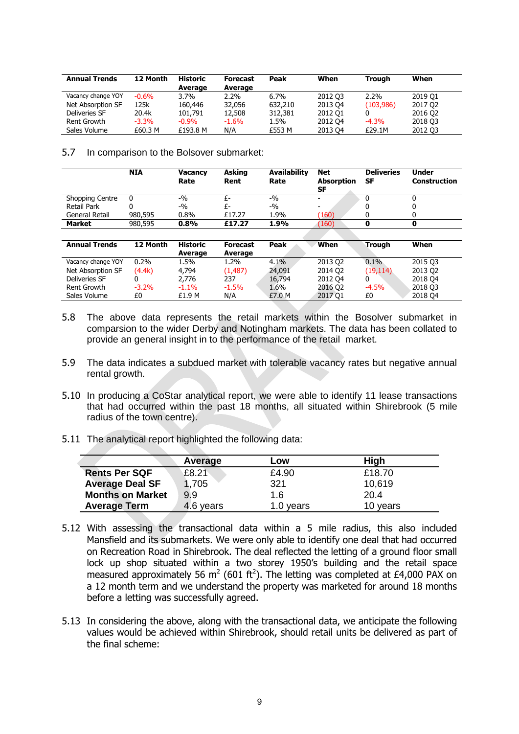| <b>Annual Trends</b> | 12 Month | <b>Historic</b><br>Average | <b>Forecast</b><br>Average | Peak    | When    | Trough    | When    |
|----------------------|----------|----------------------------|----------------------------|---------|---------|-----------|---------|
| Vacancy change YOY   | $-0.6\%$ | $3.7\%$                    | $2.2\%$                    | $6.7\%$ | 2012 03 | $2.2\%$   | 2019 01 |
| Net Absorption SF    | 125k     | 160,446                    | 32,056                     | 632,210 | 2013 04 | (103,986) | 2017 Q2 |
| Deliveries SF        | 20.4k    | 101.791                    | 12,508                     | 312,381 | 2012 01 |           | 2016 Q2 |
| Rent Growth          | $-3.3%$  | $-0.9\%$                   | $-1.6%$                    | 1.5%    | 2012 04 | $-4.3%$   | 2018 03 |
| Sales Volume         | £60.3 M  | £193.8 M                   | N/A                        | £553 M  | 2013 04 | £29.1M    | 2012 03 |

5.7 In comparison to the Bolsover submarket:

|                    | <b>NIA</b> | <b>Vacancy</b><br>Rate | <b>Asking</b><br>Rent | <b>Availability</b><br>Rate | Net<br><b>Absorption</b><br>SF | <b>Deliveries</b><br>SF | <b>Under</b><br><b>Construction</b> |
|--------------------|------------|------------------------|-----------------------|-----------------------------|--------------------------------|-------------------------|-------------------------------------|
| Shopping Centre    |            | $-9/0$                 |                       | $-9/0$                      | -                              |                         | 0                                   |
| <b>Retail Park</b> |            | $-9/0$                 |                       | $-9/0$                      |                                |                         | 0                                   |
| General Retail     | 980,595    | 0.8%                   | £17.27                | 1.9%                        | (160)                          |                         |                                     |
| <b>Market</b>      | 980,595    | 0.8%                   | £17.27                | 1.9%                        | (160)                          |                         | o                                   |
|                    |            |                        |                       |                             |                                |                         |                                     |

| <b>Annual Trends</b> | 12 Month | Historic<br>Average | <b>Forecast</b><br>Average | Peak    | When    | Trouah    | When    |
|----------------------|----------|---------------------|----------------------------|---------|---------|-----------|---------|
| Vacancy change YOY   | $0.2\%$  | 1.5%                | 1.2%                       | $4.1\%$ | 2013 02 | $0.1\%$   | 2015 03 |
| Net Absorption SF    | (4.4k)   | 4.794               | (1.487)                    | 24,091  | 2014 Q2 | (19, 114) | 2013 Q2 |
| Deliveries SF        |          | 2,776               | 237                        | 16,794  | 2012 04 |           | 2018 04 |
| Rent Growth          | $-3.2\%$ | $-1.1%$             | $-1.5%$                    | 1.6%    | 2016 Q2 | $-4.5%$   | 2018 03 |
| Sales Volume         | £0       | £1.9 M              | N/A                        | £7.0 M  | 2017 Q1 | £0        | 2018 04 |

- 5.8 The above data represents the retail markets within the Bosolver submarket in comparsion to the wider Derby and Notingham markets. The data has been collated to provide an general insight in to the performance of the retail market.
- 5.9 The data indicates a subdued market with tolerable vacancy rates but negative annual rental growth.
- 5.10 In producing a CoStar analytical report, we were able to identify 11 lease transactions that had occurred within the past 18 months, all situated within Shirebrook (5 mile radius of the town centre).
- 5.11 The analytical report highlighted the following data:

|                         | Average   | LOW       | High     |
|-------------------------|-----------|-----------|----------|
| <b>Rents Per SQF</b>    | £8.21     | £4.90     | £18.70   |
| <b>Average Deal SF</b>  | 1,705     | 321       | 10,619   |
| <b>Months on Market</b> | 9.9       | 1.6       | 20.4     |
| <b>Average Term</b>     | 4.6 years | 1.0 years | 10 years |

- 5.12 With assessing the transactional data within a 5 mile radius, this also included Mansfield and its submarkets. We were only able to identify one deal that had occurred on Recreation Road in Shirebrook. The deal reflected the letting of a ground floor small lock up shop situated within a two storey 1950's building and the retail space measured approximately 56 m<sup>2</sup> (601 ft<sup>2</sup>). The letting was completed at £4,000 PAX on a 12 month term and we understand the property was marketed for around 18 months before a letting was successfully agreed.
- 5.13 In considering the above, along with the transactional data, we anticipate the following values would be achieved within Shirebrook, should retail units be delivered as part of the final scheme: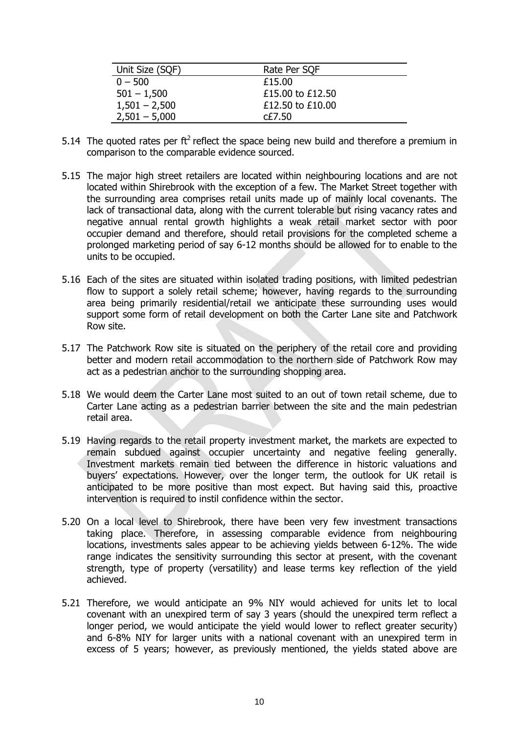| Unit Size (SQF) | Rate Per SQF     |
|-----------------|------------------|
| $0 - 500$       | £15.00           |
| $501 - 1,500$   | £15,00 to £12,50 |
| $1,501 - 2,500$ | £12.50 to £10.00 |
| $2,501 - 5,000$ | CE7.50           |

- 5.14 The quoted rates per  $ft^2$  reflect the space being new build and therefore a premium in comparison to the comparable evidence sourced.
- 5.15 The major high street retailers are located within neighbouring locations and are not located within Shirebrook with the exception of a few. The Market Street together with the surrounding area comprises retail units made up of mainly local covenants. The lack of transactional data, along with the current tolerable but rising vacancy rates and negative annual rental growth highlights a weak retail market sector with poor occupier demand and therefore, should retail provisions for the completed scheme a prolonged marketing period of say 6-12 months should be allowed for to enable to the units to be occupied.
- 5.16 Each of the sites are situated within isolated trading positions, with limited pedestrian flow to support a solely retail scheme; however, having regards to the surrounding area being primarily residential/retail we anticipate these surrounding uses would support some form of retail development on both the Carter Lane site and Patchwork Row site.
- 5.17 The Patchwork Row site is situated on the periphery of the retail core and providing better and modern retail accommodation to the northern side of Patchwork Row may act as a pedestrian anchor to the surrounding shopping area.
- 5.18 We would deem the Carter Lane most suited to an out of town retail scheme, due to Carter Lane acting as a pedestrian barrier between the site and the main pedestrian retail area.
- 5.19 Having regards to the retail property investment market, the markets are expected to remain subdued against occupier uncertainty and negative feeling generally. Investment markets remain tied between the difference in historic valuations and buyers' expectations. However, over the longer term, the outlook for UK retail is anticipated to be more positive than most expect. But having said this, proactive intervention is required to instil confidence within the sector.
- 5.20 On a local level to Shirebrook, there have been very few investment transactions taking place. Therefore, in assessing comparable evidence from neighbouring locations, investments sales appear to be achieving yields between 6-12%. The wide range indicates the sensitivity surrounding this sector at present, with the covenant strength, type of property (versatility) and lease terms key reflection of the yield achieved.
- 5.21 Therefore, we would anticipate an 9% NIY would achieved for units let to local covenant with an unexpired term of say 3 years (should the unexpired term reflect a longer period, we would anticipate the yield would lower to reflect greater security) and 6-8% NIY for larger units with a national covenant with an unexpired term in excess of 5 years; however, as previously mentioned, the yields stated above are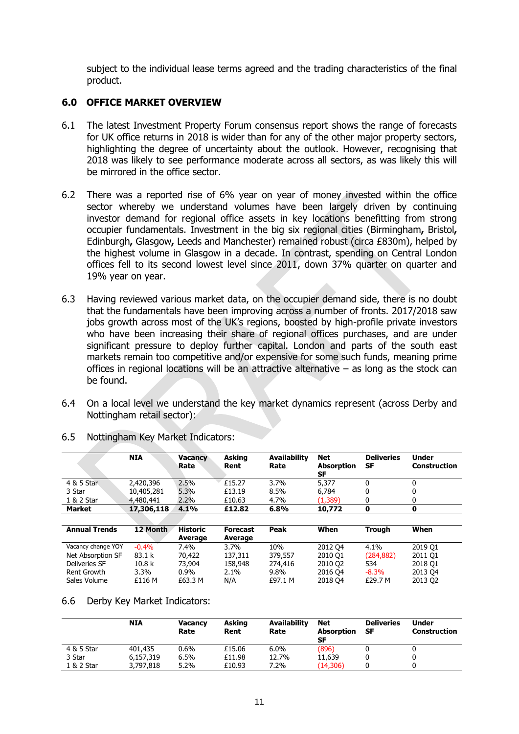subject to the individual lease terms agreed and the trading characteristics of the final product.

### **6.0 OFFICE MARKET OVERVIEW**

- 6.1 The latest Investment Property Forum consensus report shows the range of forecasts for UK office returns in 2018 is wider than for any of the other major property sectors, highlighting the degree of uncertainty about the outlook. However, recognising that 2018 was likely to see performance moderate across all sectors, as was likely this will be mirrored in the office sector.
- 6.2 There was a reported rise of 6% year on year of money invested within the office sector whereby we understand volumes have been largely driven by continuing investor demand for regional office assets in key locations benefitting from strong occupier fundamentals. Investment in the big six regional cities (Birmingham**,** Bristol**,**  Edinburgh**,** Glasgow**,** Leeds and Manchester) remained robust (circa £830m), helped by the highest volume in Glasgow in a decade. In contrast, spending on Central London offices fell to its second lowest level since 2011, down 37% quarter on quarter and 19% year on year.
- 6.3 Having reviewed various market data, on the occupier demand side, there is no doubt that the fundamentals have been improving across a number of fronts. 2017/2018 saw jobs growth across most of the UK's regions, boosted by high-profile private investors who have been increasing their share of regional offices purchases, and are under significant pressure to deploy further capital. London and parts of the south east markets remain too competitive and/or expensive for some such funds, meaning prime offices in regional locations will be an attractive alternative – as long as the stock can be found.
- 6.4 On a local level we understand the key market dynamics represent (across Derby and Nottingham retail sector):

|                      | <b>NIA</b>        | <b>Vacancy</b><br>Rate     | <b>Asking</b><br>Rent      | <b>Availability</b><br>Rate | Net<br><b>Absorption</b><br>SF | <b>Deliveries</b><br>SF | <b>Under</b><br><b>Construction</b> |
|----------------------|-------------------|----------------------------|----------------------------|-----------------------------|--------------------------------|-------------------------|-------------------------------------|
| 4 & 5 Star           | 2,420,396         | 2.5%                       | £15.27                     | 3.7%                        | 5,377                          | 0                       | 0                                   |
| 3 Star               | 10,405,281        | 5.3%                       | £13.19                     | 8.5%                        | 6,784                          | 0                       | 0                                   |
| 1 & 2 Star           | 4,480,441         | 2.2%                       | £10.63                     | 4.7%                        | (1.389)                        | 0                       | 0                                   |
| <b>Market</b>        | 17,306,118        | 4.1%                       | £12.82                     | 6.8%                        | 10,772                         | 0                       | 0                                   |
|                      |                   |                            |                            |                             |                                |                         |                                     |
| <b>Annual Trends</b> | 12 Month          | <b>Historic</b><br>Average | <b>Forecast</b><br>Average | Peak                        | When                           | <b>Trough</b>           | When                                |
| Vacancy change YOY   | $-0.4%$           | 7.4%                       | $3.7\%$                    | 10%                         | 2012 04                        | 4.1%                    | 2019 01                             |
| Net Absorption SF    | 83.1 k            | 70,422                     | 137,311                    | 379,557                     | 2010 01                        | (284, 882)              | 2011 01                             |
| <b>Deliveries SF</b> | 10.8 <sub>k</sub> | 73,904                     | 158,948                    | 274,416                     | 2010 02                        | 534                     | 2018 Q1                             |
| Rent Growth          | $3.3\%$           | $0.9\%$                    | $2.1\%$                    | 9.8%                        | 2016 04                        | $-8.3\%$                | 2013 04                             |
| Sales Volume         | £116 M            | £63.3 M                    | N/A                        | £97.1 M                     | 2018 04                        | £29.7 M                 | 2013 02                             |

6.5 Nottingham Key Market Indicators:

#### 6.6 Derby Key Market Indicators:

|            | <b>NIA</b> | <b>Vacancy</b><br>Rate | <b>Asking</b><br>Rent | <b>Availability</b><br>Rate | Net<br><b>Absorption</b><br>SF | <b>Deliveries</b><br>SF | <b>Under</b><br><b>Construction</b> |
|------------|------------|------------------------|-----------------------|-----------------------------|--------------------------------|-------------------------|-------------------------------------|
| 4 & 5 Star | 401,435    | $0.6\%$                | £15.06                | 6.0%                        | (896)                          |                         |                                     |
| 3 Star     | 6.157.319  | 6.5%                   | £11.98                | 12.7%                       | 11.639                         |                         |                                     |
| 1 & 2 Star | 3,797,818  | 5.2%                   | £10.93                | 7.2%                        | (14, 306)                      |                         |                                     |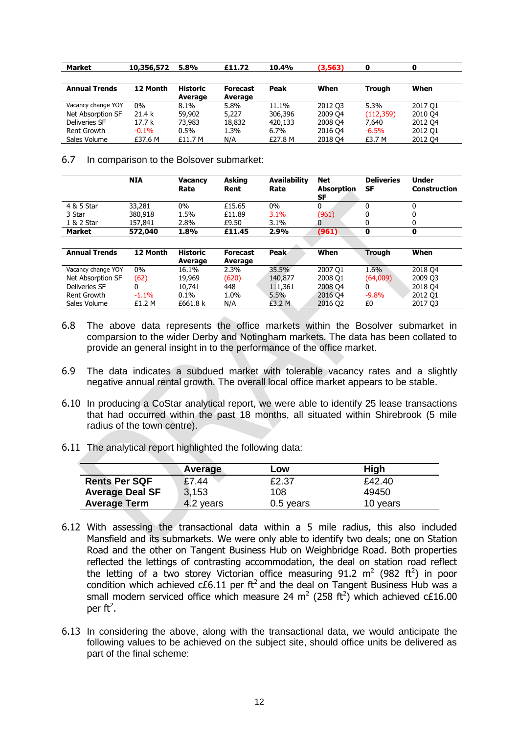| Market               | 10,356,572 | 5.8%                       | £11.72                     | 10.4%   | (3,563) |               | 0       |
|----------------------|------------|----------------------------|----------------------------|---------|---------|---------------|---------|
|                      |            |                            |                            |         |         |               |         |
| <b>Annual Trends</b> | 12 Month   | <b>Historic</b><br>Average | <b>Forecast</b><br>Average | Peak    | When    | <b>Trough</b> | When    |
| Vacancy change YOY   | 0%         | $8.1\%$                    | 5.8%                       | 11.1%   | 2012 03 | 5.3%          | 2017 01 |
| Net Absorption SF    | 21.4 k     | 59,902                     | 5,227                      | 306,396 | 2009 04 | (112, 359)    | 2010 04 |
| Deliveries SF        | 17.7 k     | 73,983                     | 18,832                     | 420,133 | 2008 Q4 | 7.640         | 2012 04 |
| Rent Growth          | $-0.1%$    | $0.5\%$                    | 1.3%                       | $6.7\%$ | 2016 04 | $-6.5%$       | 2012 Q1 |
| Sales Volume         | £37.6 M    | £11.7 M                    | N/A                        | £27.8 M | 2018 04 | £3.7 M        | 2012 04 |

6.7 In comparison to the Bolsover submarket:

|                      | <b>NIA</b> | <b>Vacancy</b><br>Rate     | <b>Asking</b><br>Rent      | <b>Availability</b><br>Rate | <b>Net</b><br><b>Absorption</b><br>SF | <b>Deliveries</b><br><b>SF</b> | <b>Under</b><br><b>Construction</b> |
|----------------------|------------|----------------------------|----------------------------|-----------------------------|---------------------------------------|--------------------------------|-------------------------------------|
| 4 & 5 Star           | 33,281     | $0\%$                      | £15.65                     | $0\%$                       | 0                                     | 0                              | 0                                   |
| 3 Star               | 380,918    | 1.5%                       | £11.89                     | 3.1%                        | (961)                                 | 0                              | 0                                   |
| 1 & 2 Star           | 157.841    | 2.8%                       | £9.50                      | $3.1\%$                     | O                                     | 0                              | 0                                   |
| <b>Market</b>        | 572,040    | 1.8%                       | £11.45                     | 2.9%                        | (961)                                 | 0                              | 0                                   |
|                      |            |                            |                            |                             |                                       |                                |                                     |
| <b>Annual Trends</b> | 12 Month   | <b>Historic</b><br>Average | <b>Forecast</b><br>Average | Peak                        | When                                  | <b>Trough</b>                  | When                                |
| Vacancy change YOY   | $0\%$      | 16.1%                      | 2.3%                       | 35.5%                       | 2007 01                               | 1.6%                           | 2018 04                             |
| Net Absorption SF    | (62)       | 19,969                     | (620)                      | 140,877                     | 2008 O1                               | (64,009)                       | 2009 Q3                             |
| <b>Deliveries SF</b> | 0          | 10.741                     | 448                        | 111,361                     | 2008 Q4                               | 0                              | 2018 04                             |
| Rent Growth          | $-1.1%$    | $0.1\%$                    | 1.0%                       | 5.5%                        | 2016 Q4                               | $-9.8%$                        | 2012 01                             |
| Sales Volume         | £1.2 M     | £661.8 k                   | N/A                        | £3.2 M                      | 2016 02                               | £0                             | 2017 03                             |

- 6.8 The above data represents the office markets within the Bosolver submarket in comparsion to the wider Derby and Notingham markets. The data has been collated to provide an general insight in to the performance of the office market.
- 6.9 The data indicates a subdued market with tolerable vacancy rates and a slightly negative annual rental growth. The overall local office market appears to be stable.
- 6.10 In producing a CoStar analytical report, we were able to identify 25 lease transactions that had occurred within the past 18 months, all situated within Shirebrook (5 mile radius of the town centre).
- 6.11 The analytical report highlighted the following data:

|                        | Average   | LOW         | High     |
|------------------------|-----------|-------------|----------|
| <b>Rents Per SQF</b>   | £7.44     | £2.37       | £42.40   |
| <b>Average Deal SF</b> | 3.153     | 108         | 49450    |
| <b>Average Term</b>    | 4.2 years | $0.5$ years | 10 years |

- 6.12 With assessing the transactional data within a 5 mile radius, this also included Mansfield and its submarkets. We were only able to identify two deals; one on Station Road and the other on Tangent Business Hub on Weighbridge Road. Both properties reflected the lettings of contrasting accommodation, the deal on station road reflect the letting of a two storey Victorian office measuring 91.2  $m^2$  (982 ft<sup>2</sup>) in poor condition which achieved c£6.11 per  $ft^2$  and the deal on Tangent Business Hub was a small modern serviced office which measure 24 m<sup>2</sup> (258 ft<sup>2</sup>) which achieved c£16.00 per ft<sup>2</sup>.
- 6.13 In considering the above, along with the transactional data, we would anticipate the following values to be achieved on the subject site, should office units be delivered as part of the final scheme: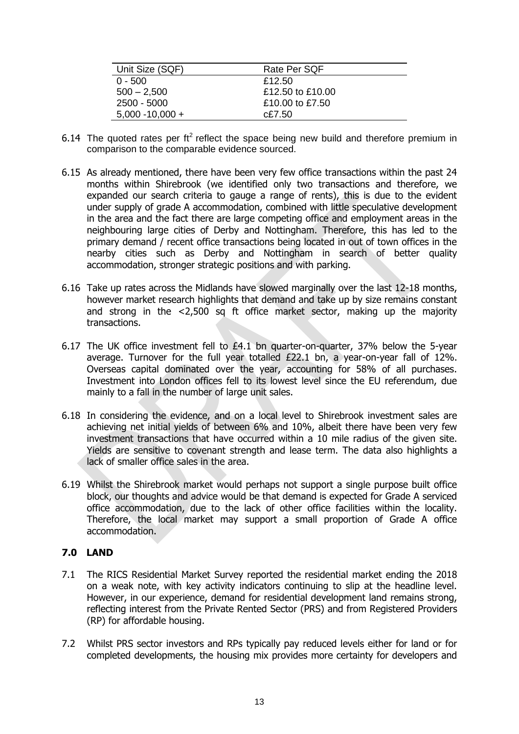| Unit Size (SQF)    | Rate Per SQF     |
|--------------------|------------------|
| $0 - 500$          | £12.50           |
| $500 - 2,500$      | £12.50 to £10.00 |
| 2500 - 5000        | £10.00 to £7.50  |
| $5,000 - 10,000 +$ | $c$ £7.50        |

- 6.14 The quoted rates per  $ft^2$  reflect the space being new build and therefore premium in comparison to the comparable evidence sourced.
- 6.15 As already mentioned, there have been very few office transactions within the past 24 months within Shirebrook (we identified only two transactions and therefore, we expanded our search criteria to gauge a range of rents), this is due to the evident under supply of grade A accommodation, combined with little speculative development in the area and the fact there are large competing office and employment areas in the neighbouring large cities of Derby and Nottingham. Therefore, this has led to the primary demand / recent office transactions being located in out of town offices in the nearby cities such as Derby and Nottingham in search of better quality accommodation, stronger strategic positions and with parking.
- 6.16 Take up rates across the Midlands have slowed marginally over the last 12-18 months, however market research highlights that demand and take up by size remains constant and strong in the <2,500 sq ft office market sector, making up the majority transactions.
- 6.17 The UK office investment fell to £4.1 bn quarter-on-quarter, 37% below the 5-year average. Turnover for the full year totalled £22.1 bn, a year-on-year fall of 12%. Overseas capital dominated over the year, accounting for 58% of all purchases. Investment into London offices fell to its lowest level since the EU referendum, due mainly to a fall in the number of large unit sales.
- 6.18 In considering the evidence, and on a local level to Shirebrook investment sales are achieving net initial yields of between 6% and 10%, albeit there have been very few investment transactions that have occurred within a 10 mile radius of the given site. Yields are sensitive to covenant strength and lease term. The data also highlights a lack of smaller office sales in the area.
- 6.19 Whilst the Shirebrook market would perhaps not support a single purpose built office block, our thoughts and advice would be that demand is expected for Grade A serviced office accommodation, due to the lack of other office facilities within the locality. Therefore, the local market may support a small proportion of Grade A office accommodation.

## **7.0 LAND**

- 7.1 The RICS Residential Market Survey reported the residential market ending the 2018 on a weak note, with key activity indicators continuing to slip at the headline level. However, in our experience, demand for residential development land remains strong, reflecting interest from the Private Rented Sector (PRS) and from Registered Providers (RP) for affordable housing.
- 7.2 Whilst PRS sector investors and RPs typically pay reduced levels either for land or for completed developments, the housing mix provides more certainty for developers and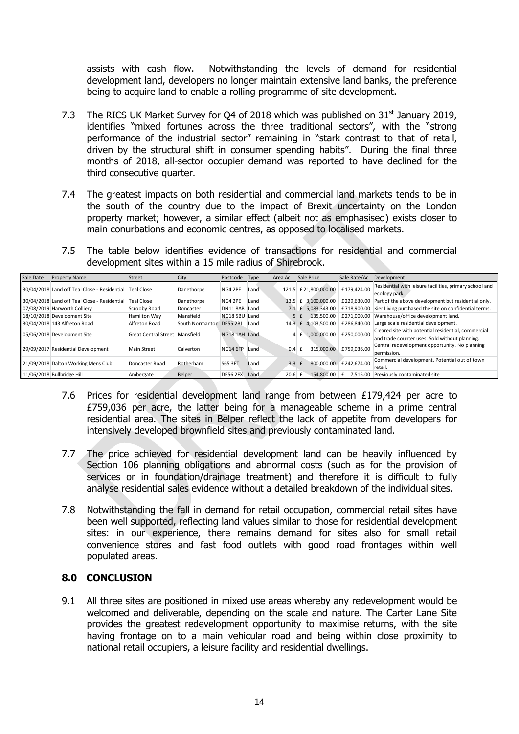assists with cash flow. Notwithstanding the levels of demand for residential development land, developers no longer maintain extensive land banks, the preference being to acquire land to enable a rolling programme of site development.

- 7.3 The RICS UK Market Survey for Q4 of 2018 which was published on  $31<sup>st</sup>$  January 2019, identifies "mixed fortunes across the three traditional sectors", with the "strong performance of the industrial sector" remaining in "stark contrast to that of retail, driven by the structural shift in consumer spending habits". During the final three months of 2018, all-sector occupier demand was reported to have declined for the third consecutive quarter.
- 7.4 The greatest impacts on both residential and commercial land markets tends to be in the south of the country due to the impact of Brexit uncertainty on the London property market; however, a similar effect (albeit not as emphasised) exists closer to main conurbations and economic centres, as opposed to localised markets.
- 7.5 The table below identifies evidence of transactions for residential and commercial development sites within a 15 mile radius of Shirebrook.

| Sale Date | <b>Property Name</b>                                    | Street                         | City            | Postcode        | Type | Area Ac           | Sale Price                   | Sale Rate/Ac           | Development                                                                                           |
|-----------|---------------------------------------------------------|--------------------------------|-----------------|-----------------|------|-------------------|------------------------------|------------------------|-------------------------------------------------------------------------------------------------------|
|           | 30/04/2018 Land off Teal Close - Residential Teal Close |                                | Danethorpe      | NG4 2PE         | Land | 121.5             | £21.800.000.00               | £179.424.00            | Residential with leisure facilities, primary school and<br>ecology park.                              |
|           | 30/04/2018 Land off Teal Close - Residential            | Teal Close                     | Danethorpe      | NG4 2PE         | Land | $13.5 \text{ } f$ | 3.100.000.00                 | £229.630.00            | Part of the above development but residential only.                                                   |
|           | 07/08/2019 Harworth Colliery                            | Scrooby Road                   | Doncaster       | <b>DN11 8AB</b> | Land |                   | 7.1 £ 5,083,343.00           | £718,900.00            | Kier Living purchased the site on confidential terms.                                                 |
|           | 18/10/2018 Development Site                             | Hamilton Way                   | Mansfield       | <b>NG18 5BU</b> | Land |                   | 135.500.00<br>5 f            | £271.000.00            | Warehouse/office development land.                                                                    |
|           | 30/04/2018 143 Alfreton Road                            | Alfreton Road                  | South Normanton | <b>DE55 2BL</b> | Land | 14.3              | 4.103.500.00<br>£            | £286.840.00            | Large scale residential development.                                                                  |
|           | 05/06/2018 Development Site                             | Great Central Street Mansfield |                 | NG18 1AH Land   |      |                   | 4 £ 1.000.000.00 £250.000.00 |                        | Cleared site with potential residential, commercial<br>and trade counter uses. Sold without planning. |
|           | 29/09/2017 Residential Development                      | <b>Main Street</b>             | Calverton       | <b>NG14 6FP</b> | Land | 0.4               | 315,000.00                   | £759.036.00            | Central redevelopment opportunity. No planning<br>permission.                                         |
|           | 21/09/2018 Dalton Working Mens Club                     | Doncaster Road                 | Rotherham       | S65 3ET         | Land | 3.3               |                              | 800.000.00 £242.674.00 | Commercial development. Potential out of town<br>retail.                                              |
|           | 11/06/2018 Bullbridge Hill                              | Ambergate                      | Belper          | <b>DE56 2FX</b> | Land | 20.6              | 154.800.00                   | 7.515.00               | Previously contaminated site                                                                          |

- 7.6 Prices for residential development land range from between £179,424 per acre to £759,036 per acre, the latter being for a manageable scheme in a prime central residential area. The sites in Belper reflect the lack of appetite from developers for intensively developed brownfield sites and previously contaminated land.
- 7.7 The price achieved for residential development land can be heavily influenced by Section 106 planning obligations and abnormal costs (such as for the provision of services or in foundation/drainage treatment) and therefore it is difficult to fully analyse residential sales evidence without a detailed breakdown of the individual sites.
- 7.8 Notwithstanding the fall in demand for retail occupation, commercial retail sites have been well supported, reflecting land values similar to those for residential development sites: in our experience, there remains demand for sites also for small retail convenience stores and fast food outlets with good road frontages within well populated areas.

### **8.0 CONCLUSION**

9.1 All three sites are positioned in mixed use areas whereby any redevelopment would be welcomed and deliverable, depending on the scale and nature. The Carter Lane Site provides the greatest redevelopment opportunity to maximise returns, with the site having frontage on to a main vehicular road and being within close proximity to national retail occupiers, a leisure facility and residential dwellings.